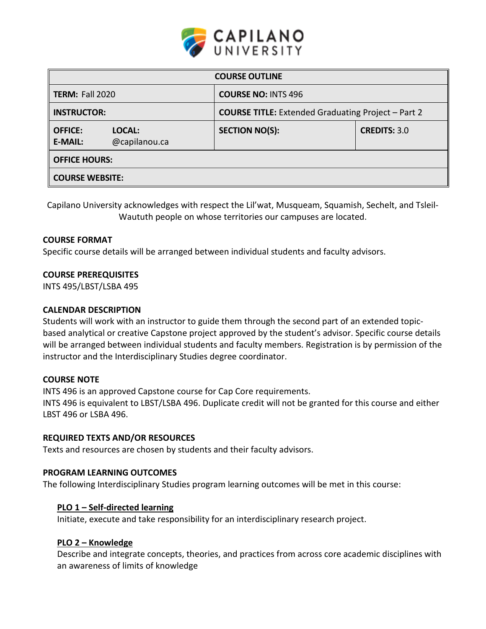

| <b>COURSE OUTLINE</b>            |                         |                                                           |                     |  |  |  |  |  |
|----------------------------------|-------------------------|-----------------------------------------------------------|---------------------|--|--|--|--|--|
| <b>TERM: Fall 2020</b>           |                         | <b>COURSE NO: INTS 496</b>                                |                     |  |  |  |  |  |
| <b>INSTRUCTOR:</b>               |                         | <b>COURSE TITLE:</b> Extended Graduating Project - Part 2 |                     |  |  |  |  |  |
| <b>OFFICE:</b><br><b>E-MAIL:</b> | LOCAL:<br>@capilanou.ca | <b>SECTION NO(S):</b>                                     | <b>CREDITS: 3.0</b> |  |  |  |  |  |
| <b>OFFICE HOURS:</b>             |                         |                                                           |                     |  |  |  |  |  |
| <b>COURSE WEBSITE:</b>           |                         |                                                           |                     |  |  |  |  |  |

Capilano University acknowledges with respect the Lil'wat, Musqueam, Squamish, Sechelt, and Tsleil-Waututh people on whose territories our campuses are located.

### **COURSE FORMAT**

Specific course details will be arranged between individual students and faculty advisors.

### **COURSE PREREQUISITES**

INTS 495/LBST/LSBA 495

#### **CALENDAR DESCRIPTION**

Students will work with an instructor to guide them through the second part of an extended topicbased analytical or creative Capstone project approved by the student's advisor. Specific course details will be arranged between individual students and faculty members. Registration is by permission of the instructor and the Interdisciplinary Studies degree coordinator.

#### **COURSE NOTE**

INTS 496 is an approved Capstone course for Cap Core requirements. INTS 496 is equivalent to LBST/LSBA 496. Duplicate credit will not be granted for this course and either LBST 496 or LSBA 496.

#### **REQUIRED TEXTS AND/OR RESOURCES**

Texts and resources are chosen by students and their faculty advisors.

### **PROGRAM LEARNING OUTCOMES**

The following Interdisciplinary Studies program learning outcomes will be met in this course:

#### **PLO 1 – Self-directed learning**

Initiate, execute and take responsibility for an interdisciplinary research project.

### **PLO 2 – Knowledge**

Describe and integrate concepts, theories, and practices from across core academic disciplines with an awareness of limits of knowledge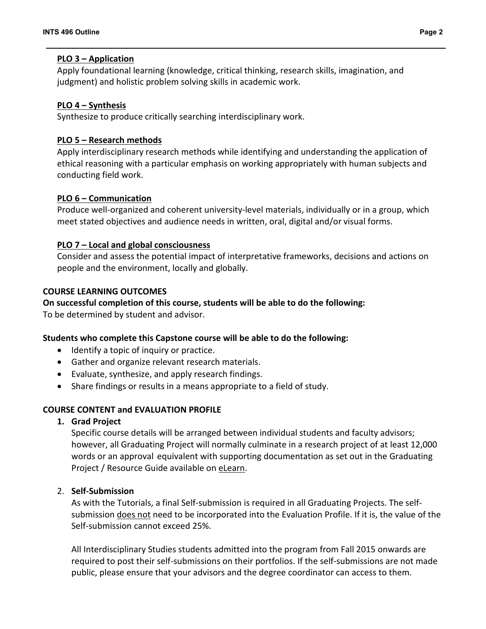## **PLO 3 – Application**

Apply foundational learning (knowledge, critical thinking, research skills, imagination, and judgment) and holistic problem solving skills in academic work.

## **PLO 4 – Synthesis**

Synthesize to produce critically searching interdisciplinary work.

## **PLO 5 – Research methods**

Apply interdisciplinary research methods while identifying and understanding the application of ethical reasoning with a particular emphasis on working appropriately with human subjects and conducting field work.

## **PLO 6 – Communication**

Produce well-organized and coherent university-level materials, individually or in a group, which meet stated objectives and audience needs in written, oral, digital and/or visual forms.

# **PLO 7 – Local and global consciousness**

Consider and assess the potential impact of interpretative frameworks, decisions and actions on people and the environment, locally and globally.

## **COURSE LEARNING OUTCOMES**

## **On successful completion of this course, students will be able to do the following:**

To be determined by student and advisor.

## **Students who complete this Capstone course will be able to do the following:**

- Identify a topic of inquiry or practice.
- Gather and organize relevant research materials.
- Evaluate, synthesize, and apply research findings.
- Share findings or results in a means appropriate to a field of study.

## **COURSE CONTENT and EVALUATION PROFILE**

## **1. Grad Project**

Specific course details will be arranged between individual students and faculty advisors; however, all Graduating Project will normally culminate in a research project of at least 12,000 words or an approval equivalent with supporting documentation as set out in the Graduating Project / Resource Guide available on [eLearn.](http://moodle.capilanou.ca/)

## 2. **Self-Submission**

As with the Tutorials, a final Self-submission is required in all Graduating Projects. The selfsubmission does not need to be incorporated into the Evaluation Profile. If it is, the value of the Self-submission cannot exceed 25%.

All Interdisciplinary Studies students admitted into the program from Fall 2015 onwards are required to post their self-submissions on their portfolios. If the self-submissions are not made public, please ensure that your advisors and the degree coordinator can access to them.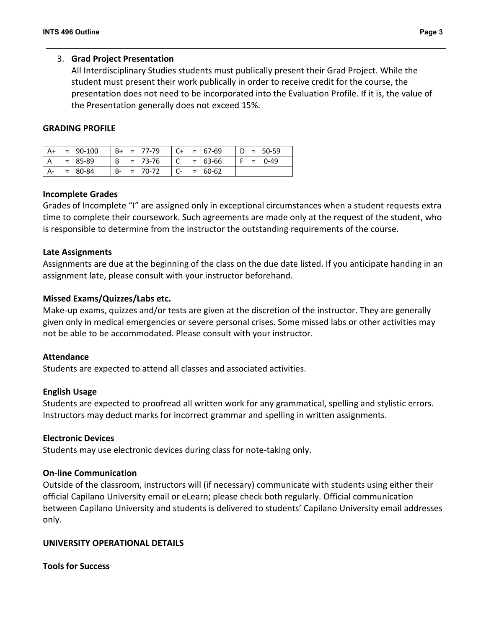### 3. **Grad Project Presentation**

All Interdisciplinary Studies students must publically present their Grad Project. While the student must present their work publically in order to receive credit for the course, the presentation does not need to be incorporated into the Evaluation Profile. If it is, the value of the Presentation generally does not exceed 15%.

### **GRADING PROFILE**

|    | $= 90-100$  | $B+ = 77-79$       | $C+$ | $= 67-69$ |  | $D = 50-59$ |
|----|-------------|--------------------|------|-----------|--|-------------|
| ΙA | = 85-89     | $B = 73-76$        |      | $= 63-66$ |  | $F = 0-49$  |
|    | $= 80 - 84$ | $= 70-72$<br>$B -$ |      | $= 60-62$ |  |             |

#### **Incomplete Grades**

Grades of Incomplete "I" are assigned only in exceptional circumstances when a student requests extra time to complete their coursework. Such agreements are made only at the request of the student, who is responsible to determine from the instructor the outstanding requirements of the course.

#### **Late Assignments**

Assignments are due at the beginning of the class on the due date listed. If you anticipate handing in an assignment late, please consult with your instructor beforehand.

### **Missed Exams/Quizzes/Labs etc.**

Make-up exams, quizzes and/or tests are given at the discretion of the instructor. They are generally given only in medical emergencies or severe personal crises. Some missed labs or other activities may not be able to be accommodated. Please consult with your instructor.

#### **Attendance**

Students are expected to attend all classes and associated activities.

#### **English Usage**

Students are expected to proofread all written work for any grammatical, spelling and stylistic errors. Instructors may deduct marks for incorrect grammar and spelling in written assignments.

#### **Electronic Devices**

Students may use electronic devices during class for note-taking only.

#### **On-line Communication**

Outside of the classroom, instructors will (if necessary) communicate with students using either their official Capilano University email or eLearn; please check both regularly. Official communication between Capilano University and students is delivered to students' Capilano University email addresses only.

## **UNIVERSITY OPERATIONAL DETAILS**

#### **Tools for Success**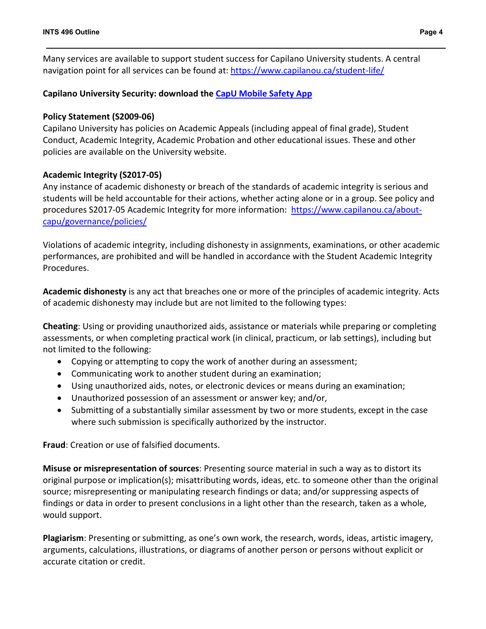Many services are available to support student success for Capilano University students. A central navigation point for all services can be found at:<https://www.capilanou.ca/student-life/>

# **Capilano University Security: download the [CapU Mobile Safety App](https://www.capilanou.ca/student-life/support--wellness/safety--security/capu-safe-app/)**

## **Policy Statement (S2009-06)**

Capilano University has policies on Academic Appeals (including appeal of final grade), Student Conduct, Academic Integrity, Academic Probation and other educational issues. These and other policies are available on the University website.

## **Academic Integrity (S2017-05)**

Any instance of academic dishonesty or breach of the standards of academic integrity is serious and students will be held accountable for their actions, whether acting alone or in a group. See policy and procedures S2017-05 Academic Integrity for more information: [https://www.capilanou.ca/about](https://www.capilanou.ca/about-capu/governance/policies/)[capu/governance/policies/](https://www.capilanou.ca/about-capu/governance/policies/)

Violations of academic integrity, including dishonesty in assignments, examinations, or other academic performances, are prohibited and will be handled in accordance with the Student Academic Integrity Procedures.

**Academic dishonesty** is any act that breaches one or more of the principles of academic integrity. Acts of academic dishonesty may include but are not limited to the following types:

**Cheating**: Using or providing unauthorized aids, assistance or materials while preparing or completing assessments, or when completing practical work (in clinical, practicum, or lab settings), including but not limited to the following:

- Copying or attempting to copy the work of another during an assessment;
- Communicating work to another student during an examination;
- Using unauthorized aids, notes, or electronic devices or means during an examination;
- Unauthorized possession of an assessment or answer key; and/or,
- Submitting of a substantially similar assessment by two or more students, except in the case where such submission is specifically authorized by the instructor.

**Fraud**: Creation or use of falsified documents.

**Misuse or misrepresentation of sources**: Presenting source material in such a way as to distort its original purpose or implication(s); misattributing words, ideas, etc. to someone other than the original source; misrepresenting or manipulating research findings or data; and/or suppressing aspects of findings or data in order to present conclusions in a light other than the research, taken as a whole, would support.

**Plagiarism**: Presenting or submitting, as one's own work, the research, words, ideas, artistic imagery, arguments, calculations, illustrations, or diagrams of another person or persons without explicit or accurate citation or credit.